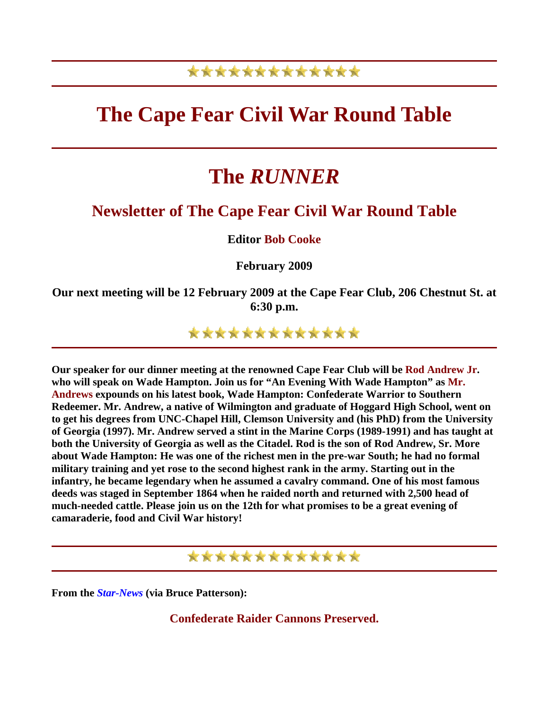## \*\*\*\*\*\*\*\*\*\*\*\*\*

## **The Cape Fear Civil War Round Table**

# **The** *RUNNER*

## **Newsletter of The Cape Fear Civil War Round Table**

**Editor Bob Cooke**

**February 2009** 

**Our next meeting will be 12 February 2009 at the Cape Fear Club, 206 Chestnut St. at 6:30 p.m.** 

\*\*\*\*\*\*\*\*\*\*\*\*\*

**Our speaker for our dinner meeting at the renowned Cape Fear Club will be Rod Andrew Jr. who will speak on Wade Hampton. Join us for "An Evening With Wade Hampton" as Mr. Andrews expounds on his latest book, Wade Hampton: Confederate Warrior to Southern Redeemer. Mr. Andrew, a native of Wilmington and graduate of Hoggard High School, went on to get his degrees from UNC-Chapel Hill, Clemson University and (his PhD) from the University of Georgia (1997). Mr. Andrew served a stint in the Marine Corps (1989-1991) and has taught at both the University of Georgia as well as the Citadel. Rod is the son of Rod Andrew, Sr. More about Wade Hampton: He was one of the richest men in the pre-war South; he had no formal military training and yet rose to the second highest rank in the army. Starting out in the infantry, he became legendary when he assumed a cavalry command. One of his most famous deeds was staged in September 1864 when he raided north and returned with 2,500 head of much-needed cattle. Please join us on the 12th for what promises to be a great evening of camaraderie, food and Civil War history!**

\*\*\*\*\*\*\*\*\*\*\*\*\*

**From the** *Star-News* **(via Bruce Patterson):**

**Confederate Raider Cannons Preserved.**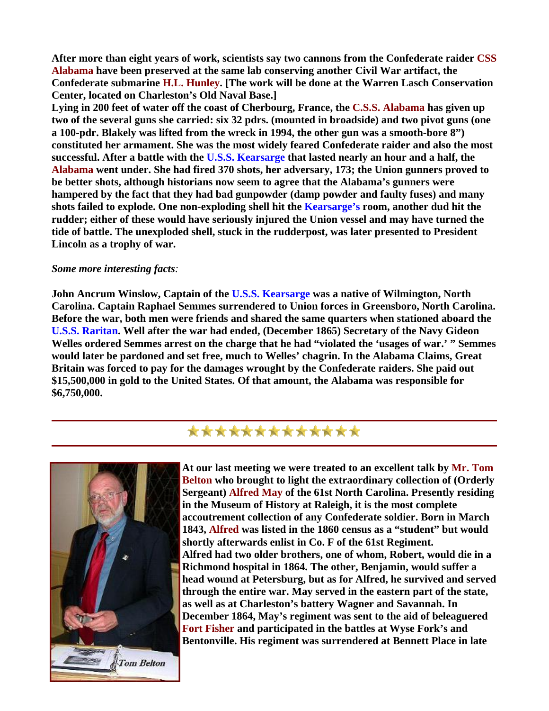**After more than eight years of work, scientists say two cannons from the Confederate raider CSS Alabama have been preserved at the same lab conserving another Civil War artifact, the Confederate submarine H.L. Hunley. [The work will be done at the Warren Lasch Conservation Center, located on Charleston's Old Naval Base.]** 

**Lying in 200 feet of water off the coast of Cherbourg, France, the C.S.S. Alabama has given up two of the several guns she carried: six 32 pdrs. (mounted in broadside) and two pivot guns (one a 100-pdr. Blakely was lifted from the wreck in 1994, the other gun was a smooth-bore 8") constituted her armament. She was the most widely feared Confederate raider and also the most successful. After a battle with the U.S.S. Kearsarge that lasted nearly an hour and a half, the Alabama went under. She had fired 370 shots, her adversary, 173; the Union gunners proved to be better shots, although historians now seem to agree that the Alabama's gunners were hampered by the fact that they had bad gunpowder (damp powder and faulty fuses) and many shots failed to explode. One non-exploding shell hit the Kearsarge's room, another dud hit the rudder; either of these would have seriously injured the Union vessel and may have turned the tide of battle. The unexploded shell, stuck in the rudderpost, was later presented to President Lincoln as a trophy of war.**

#### *Some more interesting facts:*

**John Ancrum Winslow, Captain of the U.S.S. Kearsarge was a native of Wilmington, North Carolina. Captain Raphael Semmes surrendered to Union forces in Greensboro, North Carolina. Before the war, both men were friends and shared the same quarters when stationed aboard the U.S.S. Raritan. Well after the war had ended, (December 1865) Secretary of the Navy Gideon Welles ordered Semmes arrest on the charge that he had "violated the 'usages of war.' " Semmes would later be pardoned and set free, much to Welles' chagrin. In the Alabama Claims, Great Britain was forced to pay for the damages wrought by the Confederate raiders. She paid out \$15,500,000 in gold to the United States. Of that amount, the Alabama was responsible for \$6,750,000.**



\*\*\*\*\*\*\*\*\*\*\*\*\*

**At our last meeting we were treated to an excellent talk by Mr. Tom Belton who brought to light the extraordinary collection of (Orderly Sergeant) Alfred May of the 61st North Carolina. Presently residing in the Museum of History at Raleigh, it is the most complete accoutrement collection of any Confederate soldier. Born in March 1843, Alfred was listed in the 1860 census as a "student" but would shortly afterwards enlist in Co. F of the 61st Regiment. Alfred had two older brothers, one of whom, Robert, would die in a Richmond hospital in 1864. The other, Benjamin, would suffer a head wound at Petersburg, but as for Alfred, he survived and served through the entire war. May served in the eastern part of the state, as well as at Charleston's battery Wagner and Savannah. In December 1864, May's regiment was sent to the aid of beleaguered Fort Fisher and participated in the battles at Wyse Fork's and Bentonville. His regiment was surrendered at Bennett Place in late**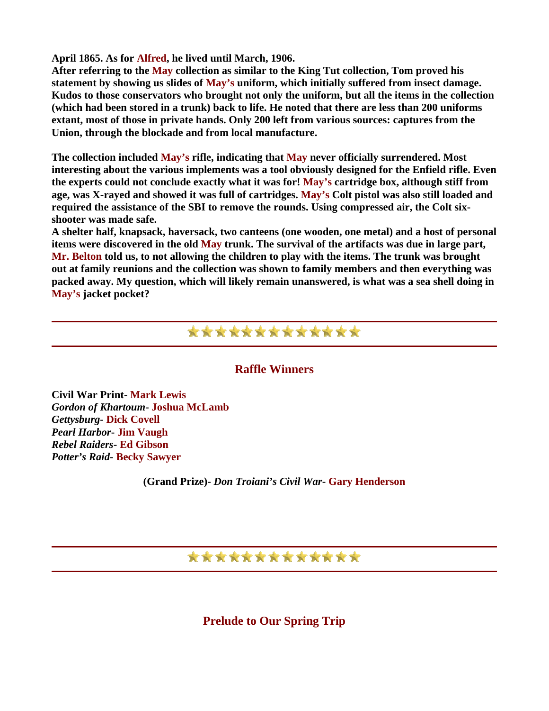**April 1865. As for Alfred, he lived until March, 1906.** 

**After referring to the May collection as similar to the King Tut collection, Tom proved his statement by showing us slides of May's uniform, which initially suffered from insect damage. Kudos to those conservators who brought not only the uniform, but all the items in the collection (which had been stored in a trunk) back to life. He noted that there are less than 200 uniforms extant, most of those in private hands. Only 200 left from various sources: captures from the Union, through the blockade and from local manufacture.**

**The collection included May's rifle, indicating that May never officially surrendered. Most interesting about the various implements was a tool obviously designed for the Enfield rifle. Even the experts could not conclude exactly what it was for! May's cartridge box, although stiff from age, was X-rayed and showed it was full of cartridges. May's Colt pistol was also still loaded and required the assistance of the SBI to remove the rounds. Using compressed air, the Colt sixshooter was made safe.** 

**A shelter half, knapsack, haversack, two canteens (one wooden, one metal) and a host of personal items were discovered in the old May trunk. The survival of the artifacts was due in large part, Mr. Belton told us, to not allowing the children to play with the items. The trunk was brought out at family reunions and the collection was shown to family members and then everything was packed away. My question, which will likely remain unanswered, is what was a sea shell doing in May's jacket pocket?**



#### **Raffle Winners**

**Civil War Print- Mark Lewis** *Gordon of Khartoum***- Joshua McLamb** *Gettysburg***- Dick Covell** *Pearl Harbor***- Jim Vaugh** *Rebel Raiders***- Ed Gibson** *Potter's Raid***- Becky Sawyer**

**(Grand Prize)-** *Don Troiani's Civil War***- Gary Henderson** 

### \*\*\*\*\*\*\*\*\*\*\*\*\*

**Prelude to Our Spring Trip**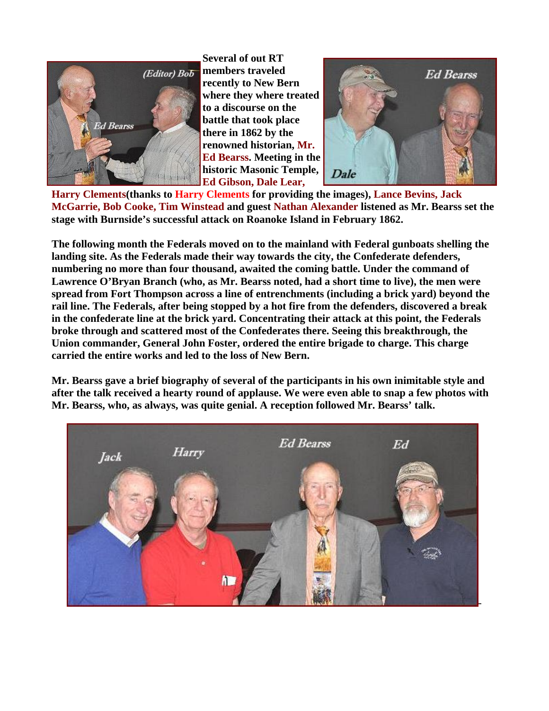

**Several of out RT members traveled recently to New Bern where they where treated to a discourse on the battle that took place there in 1862 by the renowned historian, Mr. Ed Bearss. Meeting in t he historic Masonic Tem ple, Ed Gibson, Dale Lear,** 



Harry Clements(thanks to Harry Clements for providing the images), Lance Bevins, Jack McGarrie, Bob Cooke, Tim Winstead and guest Nathan Alexander listened as Mr. Bearss set the **stage with Burnside's successful attack on Roanoke Island in February 1862.**

**The following month the Federals moved on to the mainland with Federal gunboats shelling the**  numbering no more than four thousand, awaited the coming battle. Under the command of Lawrence O'Bryan Branch (who, as Mr. Bearss noted, had a short time to live), the men were **landing site. As the Federals made their way towards the city, the Confederate defenders, spread from Fort Thompson across a line of entrenchments (including a brick yard) beyond the rail line. The Federals, after being stopped by a hot fire from the defenders, discovered a break in the confederate line at the brick yard. Concentrating their attack at this point, the Federals broke through and scattered most of the Confederates there. Seeing this breakthrough, the Union commander, General John Foster, ordered the entire brigade to charge. This charge carried the entire works and led to the loss of New Bern.**

**Mr. Bearss gave a brief biography of several of the participants in his own inimitable style and after the talk received a hearty round of applause. We were even able to snap a few photos with Mr. Bearss, who, as always, was quite genial. A reception followed Mr. Bearss' talk.**